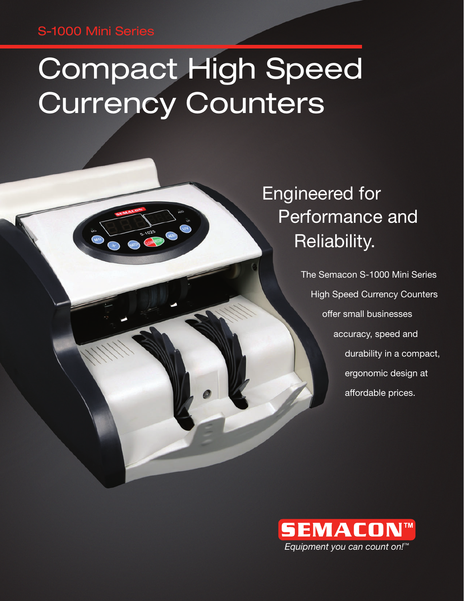### S-1000 Mini Series

# Compact High Speed Currency Counters

Engineered for Performance and Reliability.

> The Semacon S-1000 Mini Series High Speed Currency Counters offer small businesses accuracy, speed and durability in a compact, ergonomic design at affordable prices.